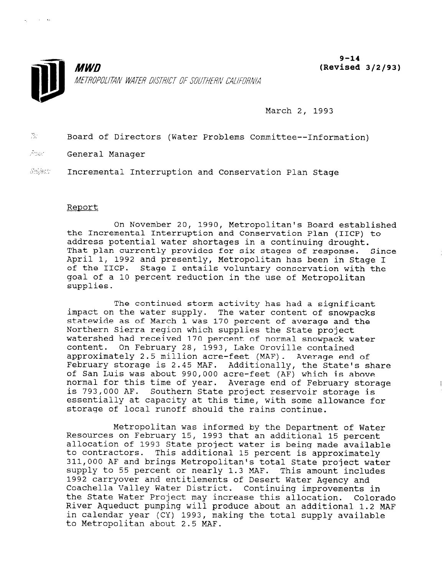

 $9 - 14$ (Revised 3/2/93)

March 2, 1993

 $T_{\mathcal{F}}$ Board of Directors (Water Problems Committee--Information)

Asm: General Manager

 $\sim 10^{-1}$  and

Subject: Incremental Interruption and Conservation Plan Stage

### Report

On November 20, 1990, Metropolitan's Board established the Incremental Interruption and Conservation Plan (IICP) to address potential water shortages in a continuing drought. That plan currently provides for six stages of response. Since April 1, 1992 and presently, Metropolitan has been in Stage I of the IICP. Stage I entails voluntary conservation with the goal of a 10 percent reduction in the use of Metropolitan supplies.

The continued storm activity has had a significant impact on the water supply. The water content of snowpacks statewide as of March 1 was 170 percent of average and the Northern Sierra region which supplies the State project watershed had received 170 percent of normal snowpack water content. On February 28, 1993, Lake Oroville contained approximately 2.5 million acre-feet (MAF). Average end of February storage is 2.45 MAF. Additionally, the State's share of San Luis was about 990,000 acre-feet (AF) which is above normal for this time of year. Average end of February storage is 793,000 AF. Southern State project reservoir storage is essentially at capacity at this time, with some allowance for storage of local runoff should the rains continue.

Metropolitan was informed by the Department of Water Resources on February 15, 1993 that an additional 15 percent resources on replacing to, 1993 that an auditional is percent ational order that is a distinct where it being made ava <sup>211,000</sup> AF and brings Metropolitical State percent is approximately sit, over an and brings metropolitan's total state project was  $\frac{1}{2}$  co 33 percent of Hearty 1.3 MAr. This amount Inclu-1992 carryover and entitlements of Desert Water Agency and<br>Coachella Valley Water District. Continuing improvements in the State Water Water District. Continuing improvements in  $\frac{R}{2}$  because  $\frac{R}{2}$  and  $\frac{R}{2}$  multiplier and  $\frac{R}{2}$  multipliers are about an addition. River Aqueduct pumping will produce about an additional 1.2 MAF in calendar year (CY) 1993, making the total supply available<br>to Metropolitan about 2.5 MAF.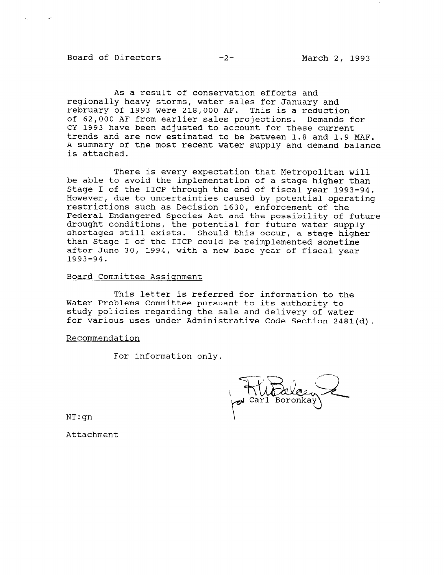Board of Directors -2- March 2, 1993

As a result of conservation efforts and regionally heavy storms, water sales for January and February of 1993 were 218,000 AF. This is a reduction of 62,000 AF from earlier sales projections. Demands for CY 1993 have been adjusted to account for these current trends and are now estimated to be between 1.8 and 1.9 MAF. A summary of the most recent water supply and demand balance is attached.

There is every expectation that Metropolitan will be able to avoid the implementation of a stage higher than Stage I of the IICP through the end of fiscal year 1993-94. However, due to uncertainties caused by potential operating restrictions such as Decision 1630, enforcement of the Federal Endangered Species Act and the possibility of future drought conditions, the potential for future water supply shortages still exists. Should this occur, a stage high than Stage I of the IICP could be reimplemented sometime after June 30, 1994, with a new base year of fiscal year 1993-94.

#### Board Committee Assignment

This letter is referred for information to the Water Problems Committee pursuant to its authority to study policies regarding the sale and delivery of water for various uses under Administrative Code Section 2481(d).

Recommendation

For information only.

NT:gn

Attachment